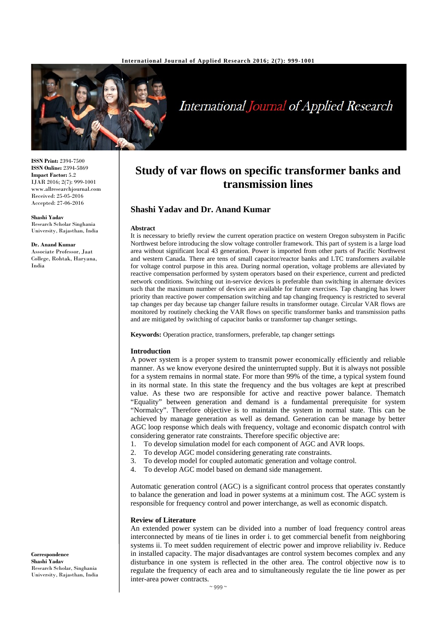

# **International Journal of Applied Research**

**ISSN Print:** 2394-7500 **ISSN Online:** 2394-5869 **Impact Factor:** 5.2 IJAR 2016; 2(7): 999-1001 www.allresearchjournal.com Received: 25-05-2016 Accepted: 27-06-2016

**Shashi Yadav** Research Scholar Singhania University, Rajasthan, India

#### **Dr. Anand Kumar**

Associate Professor, Jaat College, Rohtak, Haryana, India

## **Study of var flows on specific transformer banks and transmission lines**

## **Shashi Yadav and Dr. Anand Kumar**

#### **Abstract**

It is necessary to briefly review the current operation practice on western Oregon subsystem in Pacific Northwest before introducing the slow voltage controller framework. This part of system is a large load area without significant local 43 generation. Power is imported from other parts of Pacific Northwest and western Canada. There are tens of small capacitor/reactor banks and LTC transformers available for voltage control purpose in this area. During normal operation, voltage problems are alleviated by reactive compensation performed by system operators based on their experience, current and predicted network conditions. Switching out in-service devices is preferable than switching in alternate devices such that the maximum number of devices are available for future exercises. Tap changing has lower priority than reactive power compensation switching and tap changing frequency is restricted to several tap changes per day because tap changer failure results in transformer outage. Circular VAR flows are monitored by routinely checking the VAR flows on specific transformer banks and transmission paths and are mitigated by switching of capacitor banks or transformer tap changer settings.

**Keywords:** Operation practice, transformers, preferable, tap changer settings

#### **Introduction**

A power system is a proper system to transmit power economically efficiently and reliable manner. As we know everyone desired the uninterrupted supply. But it is always not possible for a system remains in normal state. For more than 99% of the time, a typical system found in its normal state. In this state the frequency and the bus voltages are kept at prescribed value. As these two are responsible for active and reactive power balance. Thematch "Equality" between generation and demand is a fundamental prerequisite for system "Normalcy". Therefore objective is to maintain the system in normal state. This can be achieved by manage generation as well as demand. Generation can be manage by better AGC loop response which deals with frequency, voltage and economic dispatch control with considering generator rate constraints. Therefore specific objective are:

- 1. To develop simulation model for each component of AGC and AVR loops.
- 2. To develop AGC model considering generating rate constraints.
- 3. To develop model for coupled automatic generation and voltage control.
- 4. To develop AGC model based on demand side management.

Automatic generation control (AGC) is a significant control process that operates constantly to balance the generation and load in power systems at a minimum cost. The AGC system is responsible for frequency control and power interchange, as well as economic dispatch.

#### **Review of Literature**

An extended power system can be divided into a number of load frequency control areas interconnected by means of tie lines in order i. to get commercial benefit from neighboring systems ii. To meet sudden requirement of electric power and improve reliability iv. Reduce in installed capacity. The major disadvantages are control system becomes complex and any disturbance in one system is reflected in the other area. The control objective now is to regulate the frequency of each area and to simultaneously regulate the tie line power as per inter-area power contracts.

**Correspondence Shashi Yadav** Research Scholar, Singhania University, Rajasthan, India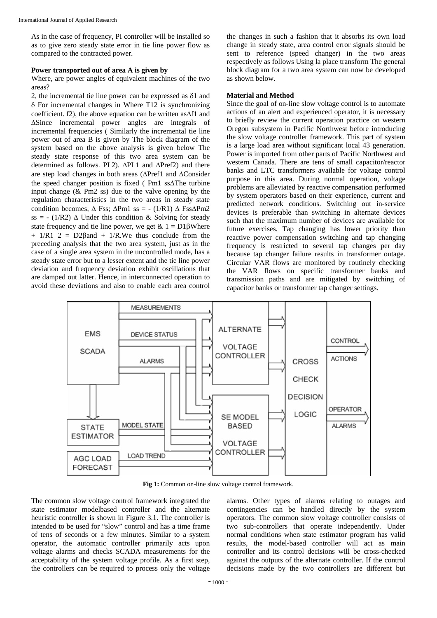As in the case of frequency, PI controller will be installed so as to give zero steady state error in tie line power flow as compared to the contracted power.

## **Power transported out of area A is given by**

Where, are power angles of equivalent machines of the two areas?

2, the incremental tie line power can be expressed as δ1 and δ For incremental changes in Where T12 is synchronizing coefficient. f2), the above equation can be written as∆f1 and ∆Since incremental power angles are integrals of incremental frequencies ( Similarly the incremental tie line power out of area B is given by The block diagram of the system based on the above analysis is given below The steady state response of this two area system can be determined as follows. PL2). ∆PL1 and ∆Pref2) and there are step load changes in both areas (∆Pref1 and ∆Consider the speed changer position is fixed ( Pm1 ss∆The turbine input change  $(\&$  Pm2 ss) due to the valve opening by the regulation characteristics in the two areas in steady state condition becomes,  $\Delta$  Fss;  $\Delta P$ m1 ss = - (1/R1)  $\Delta$  Fss $\Delta P$ m2 ss = - (1/R2)  $\Delta$  Under this condition & Solving for steady state frequency and tie line power, we get  $& 1 = D1\beta$ Where  $+ 1/R1$  2 = D2 $\beta$ and + 1/R.We thus conclude from the preceding analysis that the two area system, just as in the case of a single area system in the uncontrolled mode, has a steady state error but to a lesser extent and the tie line power deviation and frequency deviation exhibit oscillations that are damped out latter. Hence, in interconnected operation to avoid these deviations and also to enable each area control

the changes in such a fashion that it absorbs its own load change in steady state, area control error signals should be sent to reference (speed changer) in the two areas respectively as follows Using la place transform The general block diagram for a two area system can now be developed as shown below.

### **Material and Method**

Since the goal of on-line slow voltage control is to automate actions of an alert and experienced operator, it is necessary to briefly review the current operation practice on western Oregon subsystem in Pacific Northwest before introducing the slow voltage controller framework. This part of system is a large load area without significant local 43 generation. Power is imported from other parts of Pacific Northwest and western Canada. There are tens of small capacitor/reactor banks and LTC transformers available for voltage control purpose in this area. During normal operation, voltage problems are alleviated by reactive compensation performed by system operators based on their experience, current and predicted network conditions. Switching out in-service devices is preferable than switching in alternate devices such that the maximum number of devices are available for future exercises. Tap changing has lower priority than reactive power compensation switching and tap changing frequency is restricted to several tap changes per day because tap changer failure results in transformer outage. Circular VAR flows are monitored by routinely checking the VAR flows on specific transformer banks and transmission paths and are mitigated by switching of capacitor banks or transformer tap changer settings.



Fig 1: Common on-line slow voltage control framework.

The common slow voltage control framework integrated the state estimator modelbased controller and the alternate heuristic controller is shown in Figure 3.1. The controller is intended to be used for "slow" control and has a time frame of tens of seconds or a few minutes. Similar to a system operator, the automatic controller primarily acts upon voltage alarms and checks SCADA measurements for the acceptability of the system voltage profile. As a first step, the controllers can be required to process only the voltage alarms. Other types of alarms relating to outages and contingencies can be handled directly by the system operators. The common slow voltage controller consists of two sub-controllers that operate independently. Under normal conditions when state estimator program has valid results, the model-based controller will act as main controller and its control decisions will be cross-checked against the outputs of the alternate controller. If the control decisions made by the two controllers are different but